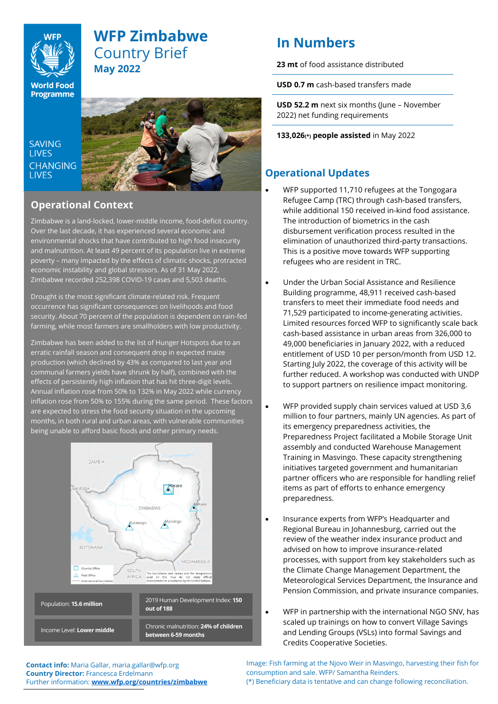

# **WFP Zimbabwe** Country Brief **May 2022**

**World Food Programme** 

SAVING **TIVES CHANGING I IVES** 



## **Operational Context**

Zimbabwe is a land-locked, lower-middle income, food-deficit country. Over the last decade, it has experienced several economic and environmental shocks that have contributed to high food insecurity and malnutrition. At leas[t 49](https://www.zimstat.co.zw/wp-content/uploads/publications/Income/Finance/Rapid_PICES_Third_Round_Presentation_Final072021.pdf) percent of its population live in extreme poverty – many impacted by the effects of climatic shocks, protracted economic instability and global stressors. As of 31 May 2022, Zimbabwe recorded 252,398 COVID-19 cases and 5,503 deaths.

Drought is the most significant climate-related risk. Frequent occurrence has significant consequences on livelihoods and food security. About 70 percent of the population is dependent on rain-fed farming, while most farmers are smallholders with low productivity.

Zimbabwe has been added to the list of Hunger Hotspots due to an erratic rainfall season and consequent drop in expected maize production (which declined by 43% as compared to last year and communal farmers yields have shrunk by half), combined with the effects of persistently high inflation that has hit three-digit levels. Annual inflation rose from 50% to 132% in May 2022 while currency inflation rose from 50% to 155% during the same period. These factors are expected to stress the food security situation in the upcoming months, in both rural and urban areas, with vulnerable communities being unable to afford basic foods and other primary needs.



# **In Numbers**

**23 mt** of food assistance distributed

**USD 0.7 m** cash-based transfers made

**USD 52.2 m** next six months (June – November 2022) net funding requirements

**133,026(\*) people assisted** in May 2022

# **Operational Updates**

- WFP supported 11,710 refugees at the Tongogara Refugee Camp (TRC) through cash-based transfers, while additional 150 received in-kind food assistance. The introduction of biometrics in the cash disbursement verification process resulted in the elimination of unauthorized third-party transactions. This is a positive move towards WFP supporting refugees who are resident in TRC.
- Under the Urban Social Assistance and Resilience Building programme, 48,911 received cash-based transfers to meet their immediate food needs and 71,529 participated to income-generating activities. Limited resources forced WFP to significantly scale back cash-based assistance in urban areas from 326,000 to 49,000 beneficiaries in January 2022, with a reduced entitlement of USD 10 per person/month from USD 12. Starting July 2022, the coverage of this activity will be further reduced. A workshop was conducted with UNDP to support partners on resilience impact monitoring.
- WFP provided supply chain services valued at USD 3,6 million to four partners, mainly UN agencies. As part of its emergency preparedness activities, the Preparedness Project facilitated a Mobile Storage Unit assembly and conducted Warehouse Management Training in Masvingo. These capacity strengthening initiatives targeted government and humanitarian partner officers who are responsible for handling relief items as part of efforts to enhance emergency preparedness.
- Insurance experts from WFP's Headquarter and Regional Bureau in Johannesburg, carried out the review of the weather index insurance product and advised on how to improve insurance-related processes, with support from key stakeholders such as the Climate Change Management Department, the Meteorological Services Department, the Insurance and Pension Commission, and private insurance companies.
- WFP in partnership with the international NGO SNV, has scaled up trainings on how to convert Village Savings and Lending Groups (VSLs) into formal Savings and Credits Cooperative Societies.

**Contact info:** Maria Gallar, maria.gallar@wfp.org **Country Director:** Francesca Erdelmann Further information: **[www.wfp.org/countries/zimbabwe](http://www.wfp.org/countries/zimbabwe)** Image: Fish farming at the Njovo Weir in Masvingo, harvesting their fish for consumption and sale. WFP/ Samantha Reinders. (\*) Beneficiary data is tentative and can change following reconciliation.